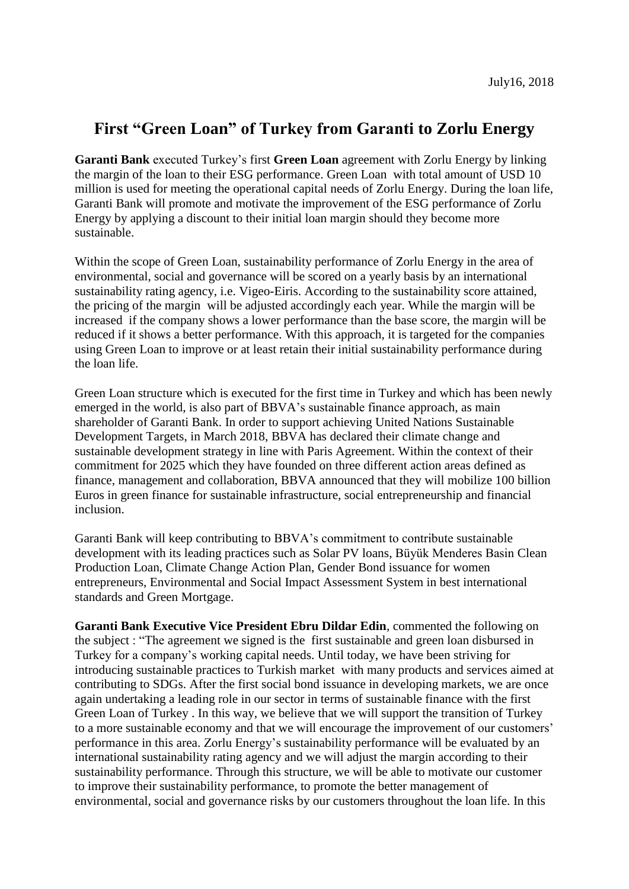## **First "Green Loan" of Turkey from Garanti to Zorlu Energy**

**Garanti Bank** executed Turkey's first **Green Loan** agreement with Zorlu Energy by linking the margin of the loan to their ESG performance. Green Loan with total amount of USD 10 million is used for meeting the operational capital needs of Zorlu Energy. During the loan life, Garanti Bank will promote and motivate the improvement of the ESG performance of Zorlu Energy by applying a discount to their initial loan margin should they become more sustainable.

Within the scope of Green Loan, sustainability performance of Zorlu Energy in the area of environmental, social and governance will be scored on a yearly basis by an international sustainability rating agency, i.e. Vigeo-Eiris. According to the sustainability score attained, the pricing of the margin will be adjusted accordingly each year. While the margin will be increased if the company shows a lower performance than the base score, the margin will be reduced if it shows a better performance. With this approach, it is targeted for the companies using Green Loan to improve or at least retain their initial sustainability performance during the loan life.

Green Loan structure which is executed for the first time in Turkey and which has been newly emerged in the world, is also part of BBVA's sustainable finance approach, as main shareholder of Garanti Bank. In order to support achieving United Nations Sustainable Development Targets, in March 2018, BBVA has declared their climate change and sustainable development strategy in line with Paris Agreement. Within the context of their commitment for 2025 which they have founded on three different action areas defined as finance, management and collaboration, BBVA announced that they will mobilize 100 billion Euros in green finance for sustainable infrastructure, social entrepreneurship and financial inclusion.

Garanti Bank will keep contributing to BBVA's commitment to contribute sustainable development with its leading practices such as Solar PV loans, Büyük Menderes Basin Clean Production Loan, Climate Change Action Plan, Gender Bond issuance for women entrepreneurs, Environmental and Social Impact Assessment System in best international standards and Green Mortgage.

**Garanti Bank Executive Vice President Ebru Dildar Edin**, commented the following on the subject : "The agreement we signed is the first sustainable and green loan disbursed in Turkey for a company's working capital needs. Until today, we have been striving for introducing sustainable practices to Turkish market with many products and services aimed at contributing to SDGs. After the first social bond issuance in developing markets, we are once again undertaking a leading role in our sector in terms of sustainable finance with the first Green Loan of Turkey . In this way, we believe that we will support the transition of Turkey to a more sustainable economy and that we will encourage the improvement of our customers' performance in this area. Zorlu Energy's sustainability performance will be evaluated by an international sustainability rating agency and we will adjust the margin according to their sustainability performance. Through this structure, we will be able to motivate our customer to improve their sustainability performance, to promote the better management of environmental, social and governance risks by our customers throughout the loan life. In this